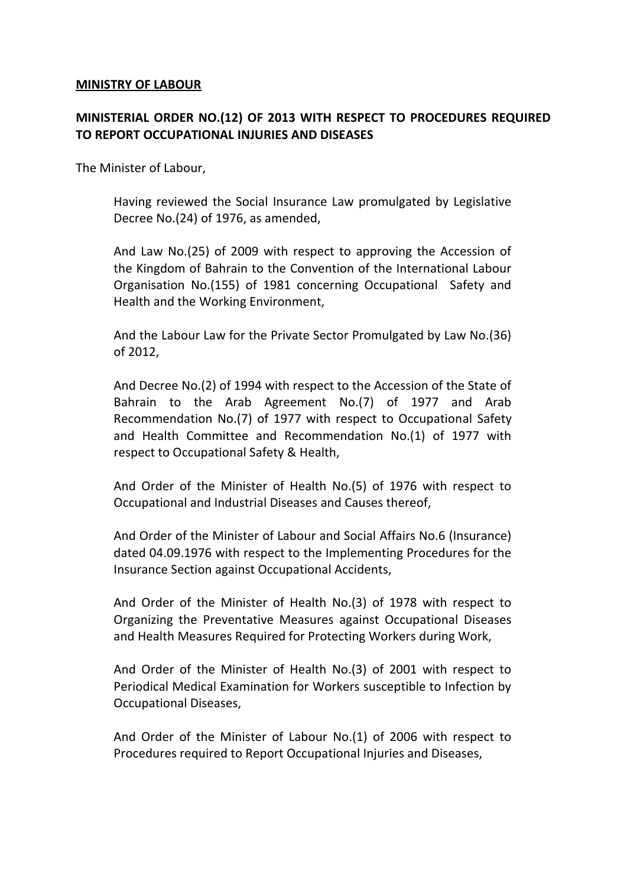#### **MINISTRY OF LABOUR**

## **MINISTERIAL ORDER NO.(12) OF 2013 WITH RESPECT TO PROCEDURES REQUIRED TO REPORT OCCUPATIONAL INJURIES AND DISEASES**

The Minister of Labour,

Having reviewed the Social Insurance Law promulgated by Legislative Decree No.(24) of 1976, as amended,

And Law No.(25) of 2009 with respect to approving the Accession of the Kingdom of Bahrain to the Convention of the International Labour Organisation No.(155) of 1981 concerning Occupational Safety and Health and the Working Environment,

And the Labour Law for the Private Sector Promulgated by Law No.(36) of 2012,

And Decree No.(2) of 1994 with respect to the Accession of the State of Bahrain to the Arab Agreement No.(7) of 1977 and Arab Recommendation No.(7) of 1977 with respect to Occupational Safety and Health Committee and Recommendation No.(1) of 1977 with respect to Occupational Safety & Health,

And Order of the Minister of Health No.(5) of 1976 with respect to Occupational and Industrial Diseases and Causes thereof,

And Order of the Minister of Labour and Social Affairs No.6 (Insurance) dated 04.09.1976 with respect to the Implementing Procedures for the Insurance Section against Occupational Accidents,

And Order of the Minister of Health No.(3) of 1978 with respect to Organizing the Preventative Measures against Occupational Diseases and Health Measures Required for Protecting Workers during Work,

And Order of the Minister of Health No.(3) of 2001 with respect to Periodical Medical Examination for Workers susceptible to Infection by Occupational Diseases,

And Order of the Minister of Labour No.(1) of 2006 with respect to Procedures required to Report Occupational Injuries and Diseases,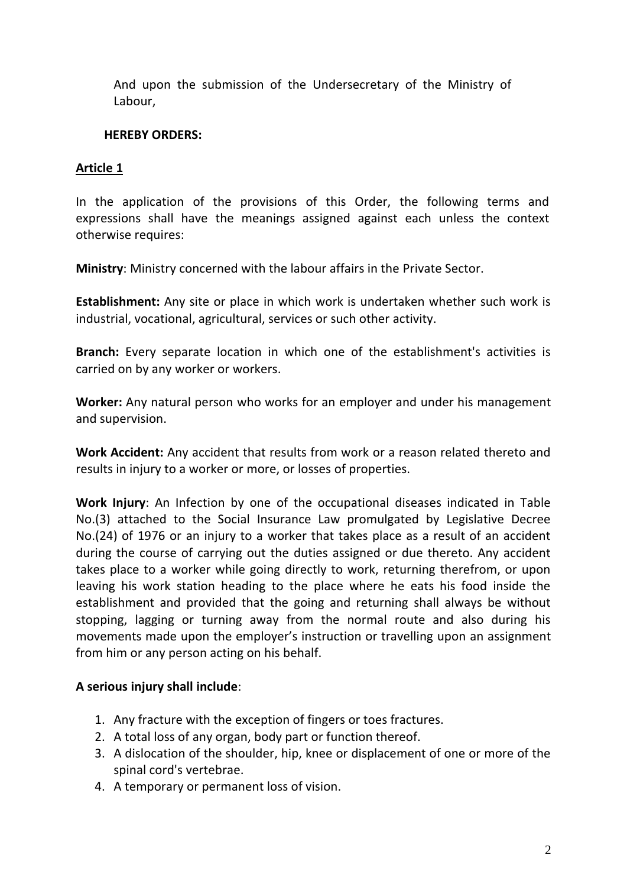And upon the submission of the Undersecretary of the Ministry of Labour,

#### **HEREBY ORDERS:**

#### **Article 1**

In the application of the provisions of this Order, the following terms and expressions shall have the meanings assigned against each unless the context otherwise requires:

**Ministry**: Ministry concerned with the labour affairs in the Private Sector.

**Establishment:** Any site or place in which work is undertaken whether such work is industrial, vocational, agricultural, services or such other activity.

**Branch:** Every separate location in which one of the establishment's activities is carried on by any worker or workers.

**Worker:** Any natural person who works for an employer and under his management and supervision.

**Work Accident:** Any accident that results from work or a reason related thereto and results in injury to a worker or more, or losses of properties.

**Work Injury**: An Infection by one of the occupational diseases indicated in Table No.(3) attached to the Social Insurance Law promulgated by Legislative Decree No.(24) of 1976 or an injury to a worker that takes place as a result of an accident during the course of carrying out the duties assigned or due thereto. Any accident takes place to a worker while going directly to work, returning therefrom, or upon leaving his work station heading to the place where he eats his food inside the establishment and provided that the going and returning shall always be without stopping, lagging or turning away from the normal route and also during his movements made upon the employer's instruction or travelling upon an assignment from him or any person acting on his behalf.

## **A serious injury shall include**:

- 1. Any fracture with the exception of fingers or toes fractures.
- 2. A total loss of any organ, body part or function thereof.
- 3. A dislocation of the shoulder, hip, knee or displacement of one or more of the spinal cord's vertebrae.
- 4. A temporary or permanent loss of vision.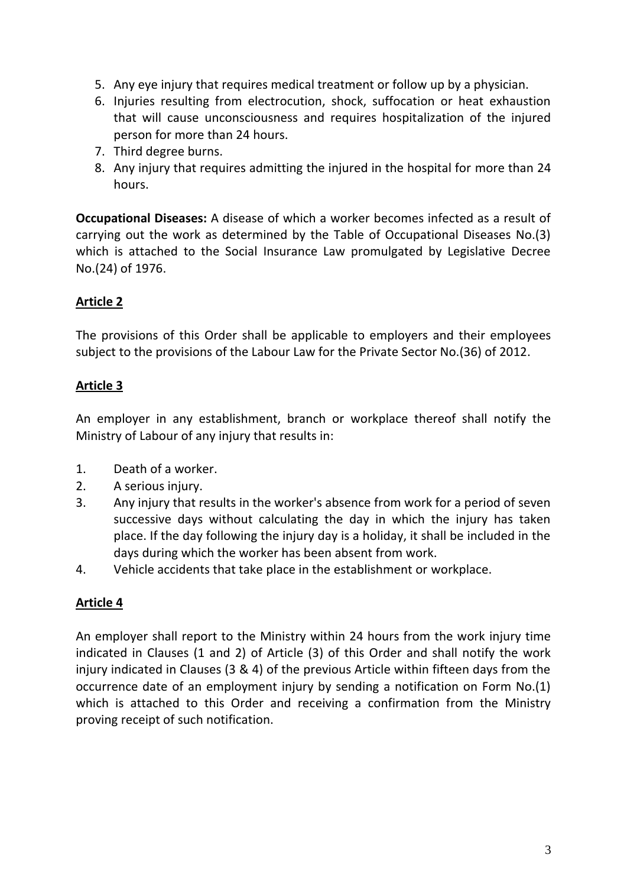- 5. Any eye injury that requires medical treatment or follow up by a physician.
- 6. Injuries resulting from electrocution, shock, suffocation or heat exhaustion that will cause unconsciousness and requires hospitalization of the injured person for more than 24 hours.
- 7. Third degree burns.
- 8. Any injury that requires admitting the injured in the hospital for more than 24 hours.

**Occupational Diseases:** A disease of which a worker becomes infected as a result of carrying out the work as determined by the Table of Occupational Diseases No.(3) which is attached to the Social Insurance Law promulgated by Legislative Decree No.(24) of 1976.

# **Article 2**

The provisions of this Order shall be applicable to employers and their employees subject to the provisions of the Labour Law for the Private Sector No.(36) of 2012.

# **Article 3**

An employer in any establishment, branch or workplace thereof shall notify the Ministry of Labour of any injury that results in:

- 1. Death of a worker.
- 2. A serious injury.
- 3. Any injury that results in the worker's absence from work for a period of seven successive days without calculating the day in which the injury has taken place. If the day following the injury day is a holiday, it shall be included in the days during which the worker has been absent from work.
- 4. Vehicle accidents that take place in the establishment or workplace.

## **Article 4**

An employer shall report to the Ministry within 24 hours from the work injury time indicated in Clauses (1 and 2) of Article (3) of this Order and shall notify the work injury indicated in Clauses (3 & 4) of the previous Article within fifteen days from the occurrence date of an employment injury by sending a notification on Form No.(1) which is attached to this Order and receiving a confirmation from the Ministry proving receipt of such notification.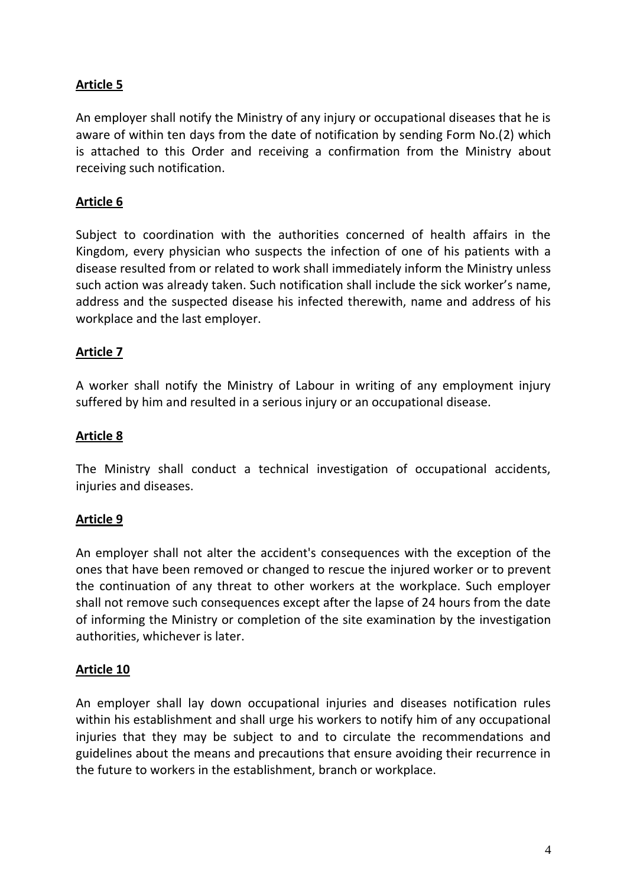## **Article 5**

An employer shall notify the Ministry of any injury or occupational diseases that he is aware of within ten days from the date of notification by sending Form No.(2) which is attached to this Order and receiving a confirmation from the Ministry about receiving such notification.

## **Article 6**

Subject to coordination with the authorities concerned of health affairs in the Kingdom, every physician who suspects the infection of one of his patients with a disease resulted from or related to work shall immediately inform the Ministry unless such action was already taken. Such notification shall include the sick worker's name, address and the suspected disease his infected therewith, name and address of his workplace and the last employer.

## **Article 7**

A worker shall notify the Ministry of Labour in writing of any employment injury suffered by him and resulted in a serious injury or an occupational disease.

## **Article 8**

The Ministry shall conduct a technical investigation of occupational accidents, injuries and diseases.

## **Article 9**

An employer shall not alter the accident's consequences with the exception of the ones that have been removed or changed to rescue the injured worker or to prevent the continuation of any threat to other workers at the workplace. Such employer shall not remove such consequences except after the lapse of 24 hours from the date of informing the Ministry or completion of the site examination by the investigation authorities, whichever is later.

## **Article 10**

An employer shall lay down occupational injuries and diseases notification rules within his establishment and shall urge his workers to notify him of any occupational injuries that they may be subject to and to circulate the recommendations and guidelines about the means and precautions that ensure avoiding their recurrence in the future to workers in the establishment, branch or workplace.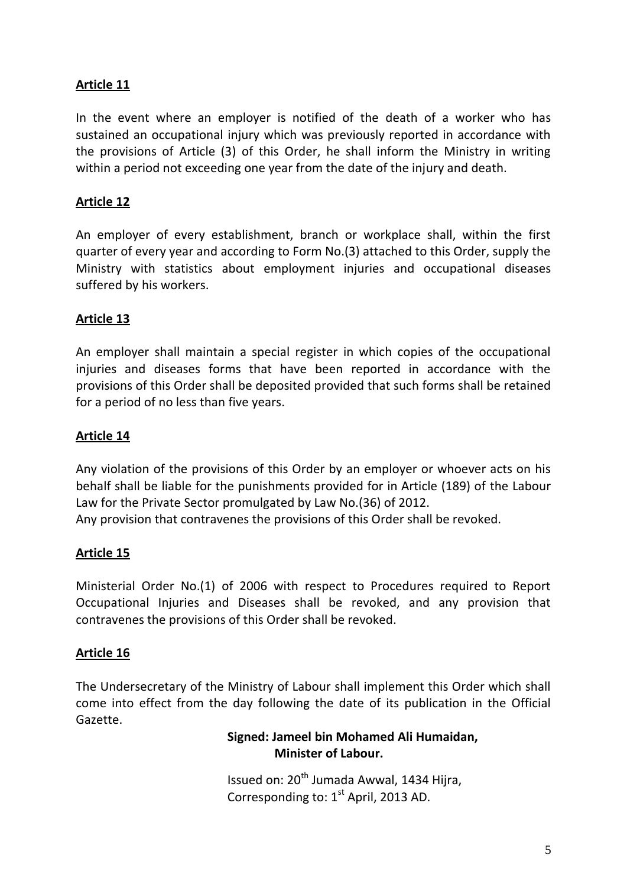## **Article 11**

In the event where an employer is notified of the death of a worker who has sustained an occupational injury which was previously reported in accordance with the provisions of Article (3) of this Order, he shall inform the Ministry in writing within a period not exceeding one year from the date of the injury and death.

## **Article 12**

An employer of every establishment, branch or workplace shall, within the first quarter of every year and according to Form No.(3) attached to this Order, supply the Ministry with statistics about employment injuries and occupational diseases suffered by his workers.

## **Article 13**

An employer shall maintain a special register in which copies of the occupational injuries and diseases forms that have been reported in accordance with the provisions of this Order shall be deposited provided that such forms shall be retained for a period of no less than five years.

## **Article 14**

Any violation of the provisions of this Order by an employer or whoever acts on his behalf shall be liable for the punishments provided for in Article (189) of the Labour Law for the Private Sector promulgated by Law No.(36) of 2012. Any provision that contravenes the provisions of this Order shall be revoked.

## **Article 15**

Ministerial Order No.(1) of 2006 with respect to Procedures required to Report Occupational Injuries and Diseases shall be revoked, and any provision that contravenes the provisions of this Order shall be revoked.

## **Article 16**

The Undersecretary of the Ministry of Labour shall implement this Order which shall come into effect from the day following the date of its publication in the Official Gazette.

## **Signed: Jameel bin Mohamed Ali Humaidan, Minister of Labour.**

Issued on:  $20<sup>th</sup>$  Jumada Awwal, 1434 Hijra, Corresponding to:  $1<sup>st</sup>$  April, 2013 AD.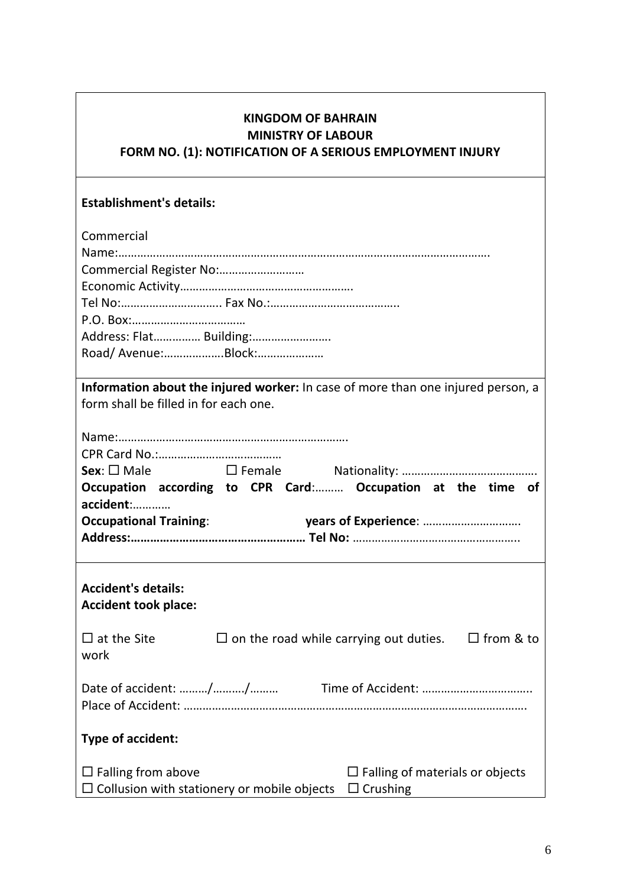# **KINGDOM OF BAHRAIN MINISTRY OF LABOUR FORM NO. (1): NOTIFICATION OF A SERIOUS EMPLOYMENT INJURY**

## **Establishment's details:**

| Commercial                                                                                                                            |  |  |  |  |  |  |  |  |  |  |  |
|---------------------------------------------------------------------------------------------------------------------------------------|--|--|--|--|--|--|--|--|--|--|--|
|                                                                                                                                       |  |  |  |  |  |  |  |  |  |  |  |
| Commercial Register No:                                                                                                               |  |  |  |  |  |  |  |  |  |  |  |
|                                                                                                                                       |  |  |  |  |  |  |  |  |  |  |  |
|                                                                                                                                       |  |  |  |  |  |  |  |  |  |  |  |
|                                                                                                                                       |  |  |  |  |  |  |  |  |  |  |  |
|                                                                                                                                       |  |  |  |  |  |  |  |  |  |  |  |
| Address: Flat Building:                                                                                                               |  |  |  |  |  |  |  |  |  |  |  |
|                                                                                                                                       |  |  |  |  |  |  |  |  |  |  |  |
| Information about the injured worker: In case of more than one injured person, a                                                      |  |  |  |  |  |  |  |  |  |  |  |
| form shall be filled in for each one.                                                                                                 |  |  |  |  |  |  |  |  |  |  |  |
|                                                                                                                                       |  |  |  |  |  |  |  |  |  |  |  |
|                                                                                                                                       |  |  |  |  |  |  |  |  |  |  |  |
|                                                                                                                                       |  |  |  |  |  |  |  |  |  |  |  |
|                                                                                                                                       |  |  |  |  |  |  |  |  |  |  |  |
|                                                                                                                                       |  |  |  |  |  |  |  |  |  |  |  |
| Occupation according to CPR Card: Occupation at the time of<br>accident:                                                              |  |  |  |  |  |  |  |  |  |  |  |
|                                                                                                                                       |  |  |  |  |  |  |  |  |  |  |  |
| <b>Occupational Training:</b>                                                                                                         |  |  |  |  |  |  |  |  |  |  |  |
|                                                                                                                                       |  |  |  |  |  |  |  |  |  |  |  |
|                                                                                                                                       |  |  |  |  |  |  |  |  |  |  |  |
| <b>Accident's details:</b>                                                                                                            |  |  |  |  |  |  |  |  |  |  |  |
|                                                                                                                                       |  |  |  |  |  |  |  |  |  |  |  |
| <b>Accident took place:</b>                                                                                                           |  |  |  |  |  |  |  |  |  |  |  |
| $\Box$ at the Site<br>$\Box$ on the road while carrying out duties. $\Box$ from & to                                                  |  |  |  |  |  |  |  |  |  |  |  |
| work                                                                                                                                  |  |  |  |  |  |  |  |  |  |  |  |
| Date of accident: //                                                                                                                  |  |  |  |  |  |  |  |  |  |  |  |
|                                                                                                                                       |  |  |  |  |  |  |  |  |  |  |  |
|                                                                                                                                       |  |  |  |  |  |  |  |  |  |  |  |
| <b>Type of accident:</b>                                                                                                              |  |  |  |  |  |  |  |  |  |  |  |
|                                                                                                                                       |  |  |  |  |  |  |  |  |  |  |  |
|                                                                                                                                       |  |  |  |  |  |  |  |  |  |  |  |
|                                                                                                                                       |  |  |  |  |  |  |  |  |  |  |  |
| $\Box$ Falling from above<br>$\Box$ Falling of materials or objects<br>$\Box$ Collusion with stationery or mobile objects<br>Crushing |  |  |  |  |  |  |  |  |  |  |  |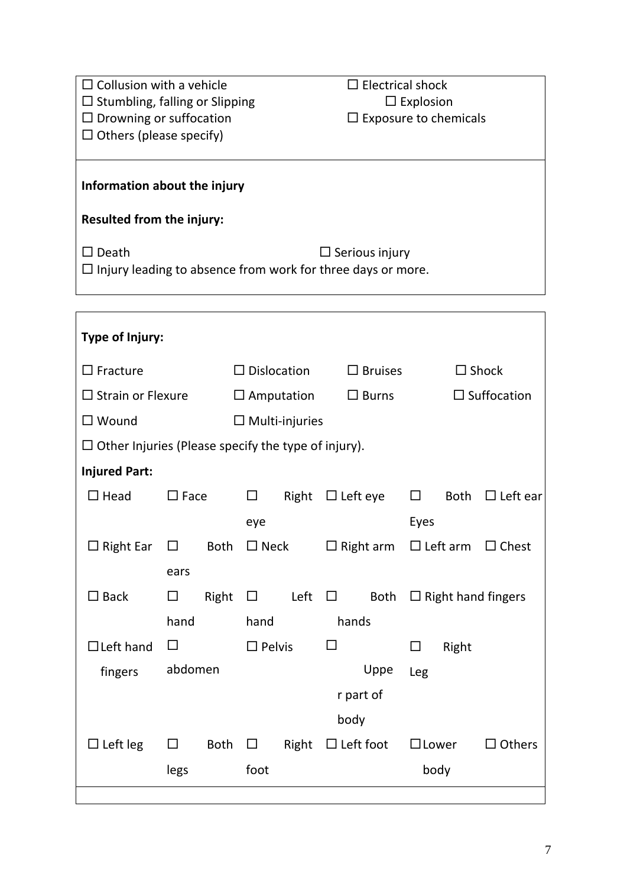| $\Box$ Collusion with a vehicle                                                        |             |                  |                       | $\Box$ Electrical shock |                 |                              |                                |                    |                 |  |  |  |  |
|----------------------------------------------------------------------------------------|-------------|------------------|-----------------------|-------------------------|-----------------|------------------------------|--------------------------------|--------------------|-----------------|--|--|--|--|
| $\square$ Stumbling, falling or Slipping                                               |             |                  |                       |                         |                 | $\Box$ Explosion             |                                |                    |                 |  |  |  |  |
| $\Box$ Drowning or suffocation                                                         |             |                  |                       |                         |                 | $\Box$ Exposure to chemicals |                                |                    |                 |  |  |  |  |
| $\Box$ Others (please specify)                                                         |             |                  |                       |                         |                 |                              |                                |                    |                 |  |  |  |  |
|                                                                                        |             |                  |                       |                         |                 |                              |                                |                    |                 |  |  |  |  |
| Information about the injury                                                           |             |                  |                       |                         |                 |                              |                                |                    |                 |  |  |  |  |
| Resulted from the injury:                                                              |             |                  |                       |                         |                 |                              |                                |                    |                 |  |  |  |  |
| $\square$ Death                                                                        |             |                  |                       |                         |                 | $\Box$ Serious injury        |                                |                    |                 |  |  |  |  |
| $\Box$ Injury leading to absence from work for three days or more.                     |             |                  |                       |                         |                 |                              |                                |                    |                 |  |  |  |  |
|                                                                                        |             |                  |                       |                         |                 |                              |                                |                    |                 |  |  |  |  |
|                                                                                        |             |                  |                       |                         |                 |                              |                                |                    |                 |  |  |  |  |
| Type of Injury:                                                                        |             |                  |                       |                         |                 |                              |                                |                    |                 |  |  |  |  |
| $\Box$ Fracture                                                                        |             |                  |                       | $\Box$ Dislocation      |                 | $\Box$ Bruises               |                                |                    | $\Box$ Shock    |  |  |  |  |
| $\Box$ Strain or Flexure                                                               |             |                  |                       | $\Box$ Amputation       |                 | $\Box$ Burns                 |                                | $\Box$ Suffocation |                 |  |  |  |  |
| $\square$ Wound                                                                        |             |                  | $\Box$ Multi-injuries |                         |                 |                              |                                |                    |                 |  |  |  |  |
| $\Box$ Other Injuries (Please specify the type of injury).                             |             |                  |                       |                         |                 |                              |                                |                    |                 |  |  |  |  |
| <b>Injured Part:</b>                                                                   |             |                  |                       |                         |                 |                              |                                |                    |                 |  |  |  |  |
| $\Box$ Head                                                                            | $\Box$ Face |                  | $\Box$                | Right                   | $\Box$ Left eye |                              | $\Box$                         | Both               | $\Box$ Left ear |  |  |  |  |
|                                                                                        |             |                  | eye                   |                         |                 |                              | Eyes                           |                    |                 |  |  |  |  |
| $\Box$ Right Ear $\Box$ Both $\Box$ Neck $\Box$ Right arm $\Box$ Left arm $\Box$ Chest |             |                  |                       |                         |                 |                              |                                |                    |                 |  |  |  |  |
|                                                                                        | ears        |                  |                       |                         |                 |                              |                                |                    |                 |  |  |  |  |
| $\square$ Back                                                                         | $\Box$      |                  | Right $\Box$          |                         | Left $\Box$     |                              | Both $\Box$ Right hand fingers |                    |                 |  |  |  |  |
|                                                                                        | hand        |                  | hand                  |                         |                 | hands                        |                                |                    |                 |  |  |  |  |
| $\Box$ Left hand                                                                       | $\Box$      |                  |                       |                         | □               |                              | $\Box$                         | Right              |                 |  |  |  |  |
|                                                                                        |             | $\square$ Pelvis |                       |                         |                 |                              |                                |                    |                 |  |  |  |  |
| fingers                                                                                | abdomen     |                  |                       |                         |                 | Uppe                         | Leg                            |                    |                 |  |  |  |  |
|                                                                                        |             |                  |                       |                         |                 | r part of                    |                                |                    |                 |  |  |  |  |
|                                                                                        |             |                  |                       |                         | body            |                              |                                |                    |                 |  |  |  |  |
| $\Box$ Left leg                                                                        | $\Box$      |                  | Both $\Box$           |                         |                 | Right $\Box$ Left foot       |                                | $\square$ Lower    | $\Box$ Others   |  |  |  |  |

legs

foot

body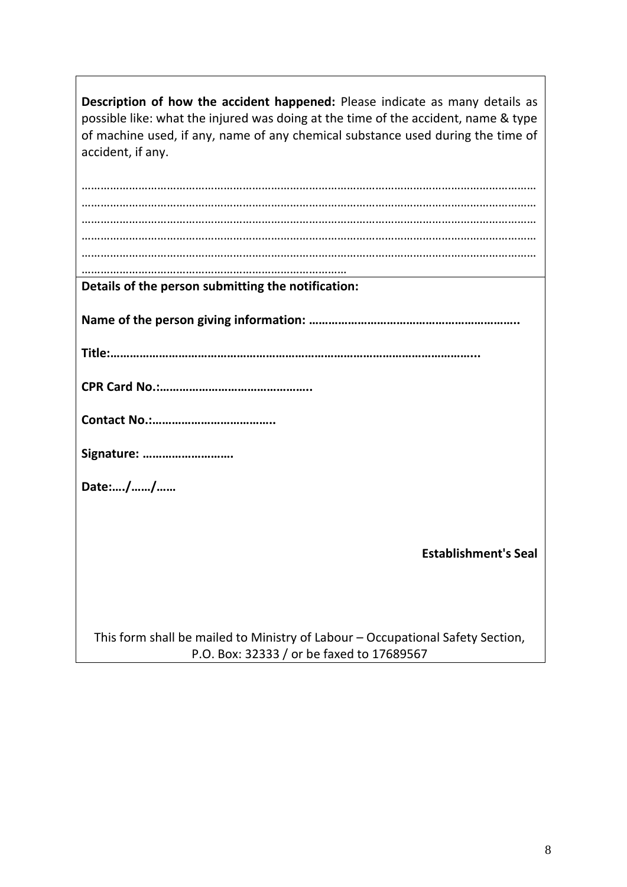| Description of how the accident happened: Please indicate as many details as<br>possible like: what the injured was doing at the time of the accident, name & type<br>of machine used, if any, name of any chemical substance used during the time of<br>accident, if any. |
|----------------------------------------------------------------------------------------------------------------------------------------------------------------------------------------------------------------------------------------------------------------------------|
|                                                                                                                                                                                                                                                                            |
|                                                                                                                                                                                                                                                                            |
|                                                                                                                                                                                                                                                                            |
|                                                                                                                                                                                                                                                                            |
|                                                                                                                                                                                                                                                                            |
|                                                                                                                                                                                                                                                                            |
| Details of the person submitting the notification:                                                                                                                                                                                                                         |
|                                                                                                                                                                                                                                                                            |
|                                                                                                                                                                                                                                                                            |
|                                                                                                                                                                                                                                                                            |
|                                                                                                                                                                                                                                                                            |
| Signature:                                                                                                                                                                                                                                                                 |
| Date://                                                                                                                                                                                                                                                                    |
|                                                                                                                                                                                                                                                                            |
| <b>Establishment's Seal</b>                                                                                                                                                                                                                                                |
|                                                                                                                                                                                                                                                                            |
| This form shall be mailed to Ministry of Labour - Occupational Safety Section,<br>P.O. Box: 32333 / or be faxed to 17689567                                                                                                                                                |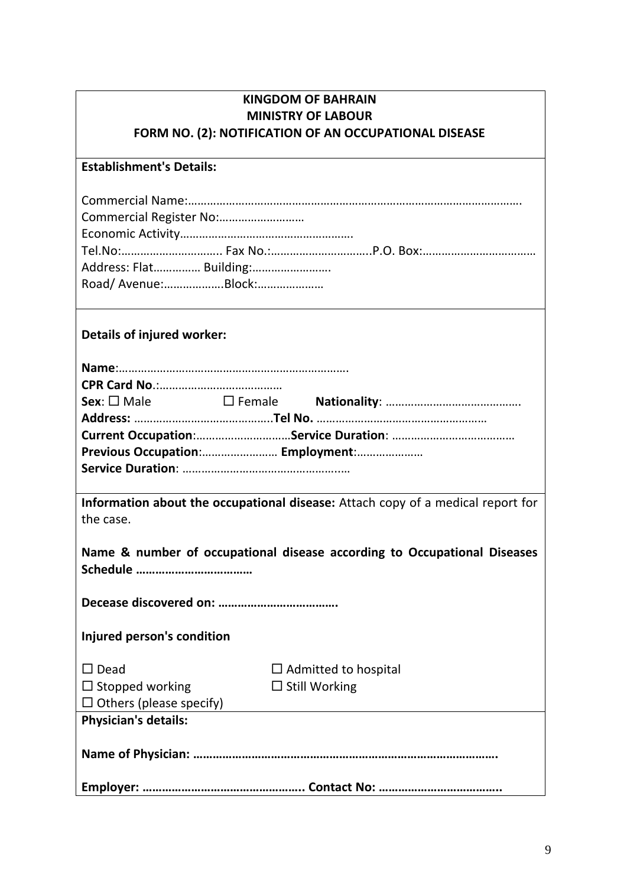| <b>KINGDOM OF BAHRAIN</b>                             |
|-------------------------------------------------------|
| <b>MINISTRY OF LABOUR</b>                             |
| FORM NO. (2): NOTIFICATION OF AN OCCUPATIONAL DISEASE |

#### **Establishment's Details:**

| Road/Avenue:Block: |  |
|--------------------|--|

# **Details of injured worker:**

| Previous Occupation: Employment: |  |  |  |  |  |  |  |  |  |
|----------------------------------|--|--|--|--|--|--|--|--|--|
|                                  |  |  |  |  |  |  |  |  |  |
|                                  |  |  |  |  |  |  |  |  |  |

**Information about the occupational disease:** Attach copy of a medical report for the case.

|  |  |  |  | Name & number of occupational disease according to Occupational Diseases |  |
|--|--|--|--|--------------------------------------------------------------------------|--|
|  |  |  |  |                                                                          |  |

**Decease discovered on: ……………………………….**

**Injured person's condition**

| $\Box$ Dead                    | $\Box$ Admitted to hospital |
|--------------------------------|-----------------------------|
| $\Box$ Stopped working         | $\Box$ Still Working        |
| $\Box$ Others (please specify) |                             |
| <b>Physician's details:</b>    |                             |
|                                |                             |
|                                |                             |
|                                |                             |
|                                |                             |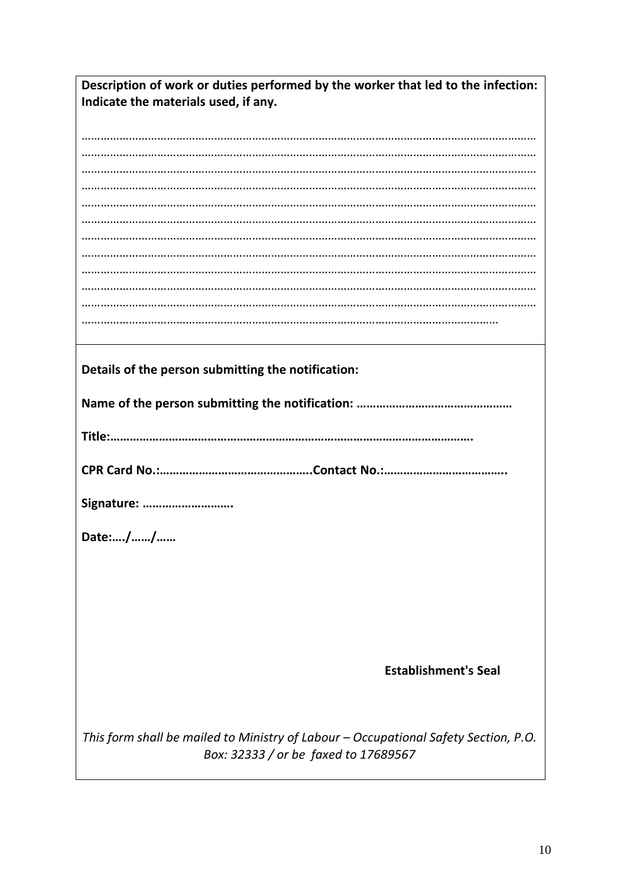| Description of work or duties performed by the worker that led to the infection:    |  |  |  |  |  |  |  |  |
|-------------------------------------------------------------------------------------|--|--|--|--|--|--|--|--|
| Indicate the materials used, if any.                                                |  |  |  |  |  |  |  |  |
|                                                                                     |  |  |  |  |  |  |  |  |
|                                                                                     |  |  |  |  |  |  |  |  |
|                                                                                     |  |  |  |  |  |  |  |  |
|                                                                                     |  |  |  |  |  |  |  |  |
|                                                                                     |  |  |  |  |  |  |  |  |
|                                                                                     |  |  |  |  |  |  |  |  |
|                                                                                     |  |  |  |  |  |  |  |  |
|                                                                                     |  |  |  |  |  |  |  |  |
|                                                                                     |  |  |  |  |  |  |  |  |
|                                                                                     |  |  |  |  |  |  |  |  |
|                                                                                     |  |  |  |  |  |  |  |  |
|                                                                                     |  |  |  |  |  |  |  |  |
|                                                                                     |  |  |  |  |  |  |  |  |
|                                                                                     |  |  |  |  |  |  |  |  |
|                                                                                     |  |  |  |  |  |  |  |  |
| Details of the person submitting the notification:                                  |  |  |  |  |  |  |  |  |
|                                                                                     |  |  |  |  |  |  |  |  |
|                                                                                     |  |  |  |  |  |  |  |  |
|                                                                                     |  |  |  |  |  |  |  |  |
|                                                                                     |  |  |  |  |  |  |  |  |
|                                                                                     |  |  |  |  |  |  |  |  |
|                                                                                     |  |  |  |  |  |  |  |  |
|                                                                                     |  |  |  |  |  |  |  |  |
| Signature:                                                                          |  |  |  |  |  |  |  |  |
|                                                                                     |  |  |  |  |  |  |  |  |
| Date://                                                                             |  |  |  |  |  |  |  |  |
|                                                                                     |  |  |  |  |  |  |  |  |
|                                                                                     |  |  |  |  |  |  |  |  |
|                                                                                     |  |  |  |  |  |  |  |  |
|                                                                                     |  |  |  |  |  |  |  |  |
|                                                                                     |  |  |  |  |  |  |  |  |
|                                                                                     |  |  |  |  |  |  |  |  |
|                                                                                     |  |  |  |  |  |  |  |  |
| <b>Establishment's Seal</b>                                                         |  |  |  |  |  |  |  |  |
|                                                                                     |  |  |  |  |  |  |  |  |
|                                                                                     |  |  |  |  |  |  |  |  |
|                                                                                     |  |  |  |  |  |  |  |  |
| This form shall be mailed to Ministry of Labour - Occupational Safety Section, P.O. |  |  |  |  |  |  |  |  |
| Box: 32333 / or be faxed to 17689567                                                |  |  |  |  |  |  |  |  |
|                                                                                     |  |  |  |  |  |  |  |  |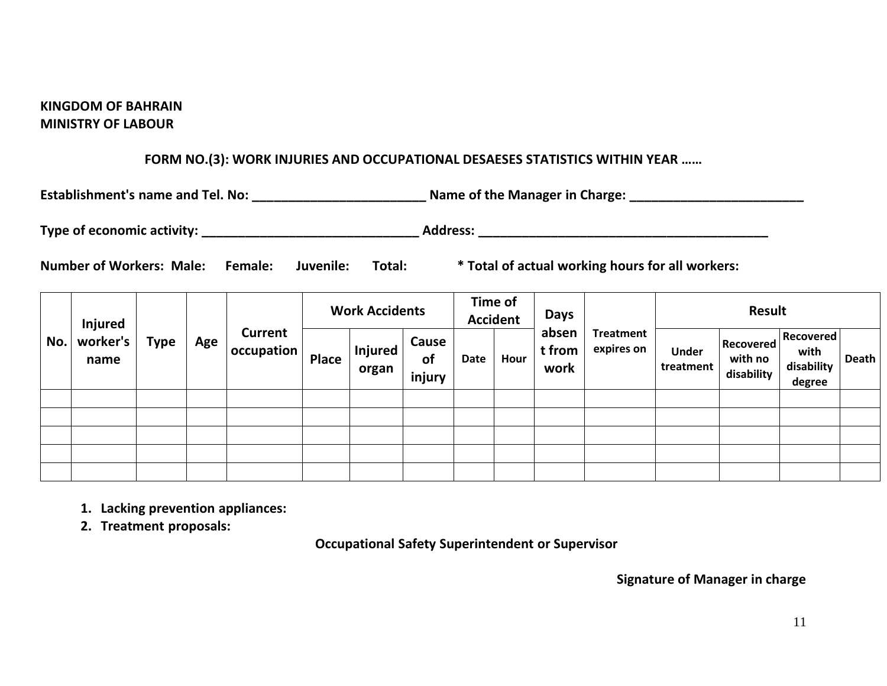#### **KINGDOM OF BAHRAIN MINISTRY OF LABOUR**

#### **FORM NO.(3): WORK INJURIES AND OCCUPATIONAL DESAESES STATISTICS WITHIN YEAR ……**

| <b>Establishment's name and Tel. No:</b>              |                |           |        | Name of the Manager in Charge:                   |  |  |  |  |  |
|-------------------------------------------------------|----------------|-----------|--------|--------------------------------------------------|--|--|--|--|--|
| Type of economic activity: Type of economic activity: |                |           |        | <b>Address:</b>                                  |  |  |  |  |  |
| <b>Number of Workers: Male:</b>                       | <b>Female:</b> | Juvenile: | Total: | * Total of actual working hours for all workers: |  |  |  |  |  |

|     | <b>Injured</b><br>worker's<br>name | <b>Type</b> | Age |                              |              |                         |                              |      |      |                         |                                |                           |                                    |                                                  |       |  |  |  |  |  |  | <b>Work Accidents</b> |  |  | Time of<br><b>Accident</b> |  | <b>Days</b> |  | <b>Result</b> |  |  |  |
|-----|------------------------------------|-------------|-----|------------------------------|--------------|-------------------------|------------------------------|------|------|-------------------------|--------------------------------|---------------------------|------------------------------------|--------------------------------------------------|-------|--|--|--|--|--|--|-----------------------|--|--|----------------------------|--|-------------|--|---------------|--|--|--|
| No. |                                    |             |     | <b>Current</b><br>occupation | <b>Place</b> | <b>Injured</b><br>organ | Cause<br><b>of</b><br>injury | Date | Hour | absen<br>t from<br>work | <b>Treatment</b><br>expires on | <b>Under</b><br>treatment | Recovered<br>with no<br>disability | <b>Recovered</b><br>with<br>disability<br>degree | Death |  |  |  |  |  |  |                       |  |  |                            |  |             |  |               |  |  |  |
|     |                                    |             |     |                              |              |                         |                              |      |      |                         |                                |                           |                                    |                                                  |       |  |  |  |  |  |  |                       |  |  |                            |  |             |  |               |  |  |  |
|     |                                    |             |     |                              |              |                         |                              |      |      |                         |                                |                           |                                    |                                                  |       |  |  |  |  |  |  |                       |  |  |                            |  |             |  |               |  |  |  |
|     |                                    |             |     |                              |              |                         |                              |      |      |                         |                                |                           |                                    |                                                  |       |  |  |  |  |  |  |                       |  |  |                            |  |             |  |               |  |  |  |
|     |                                    |             |     |                              |              |                         |                              |      |      |                         |                                |                           |                                    |                                                  |       |  |  |  |  |  |  |                       |  |  |                            |  |             |  |               |  |  |  |
|     |                                    |             |     |                              |              |                         |                              |      |      |                         |                                |                           |                                    |                                                  |       |  |  |  |  |  |  |                       |  |  |                            |  |             |  |               |  |  |  |

- **1. Lacking prevention appliances:**
- **2. Treatment proposals:**

**Occupational Safety Superintendent or Supervisor**

 **Signature of Manager in charge**